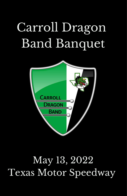# Carroll Dragon Band Banquet



# May 13, 2022 Texas Motor Speedway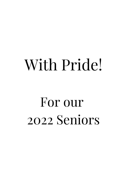# With Pride!

# For our 2022 Seniors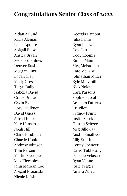# **Congratulations Senior Class of 2022**

Aidan Aalund Karla Aleman Paula Aponte Abigail Balson Ansley Bryan Federico Bulnes Denver Bush Morgan Carr Logan Clay Molly Cress Taryn Daily Isabella David Grace Drake Gavin Eke Rory Faulkner David Guess Alfred Hale Kate Hansen Noah Hill Clark Hindman Charlie Hook Andrew Johnson Tom Kersen Mattie Kleespies Max Kleespies John Morgan Koo Abigail Krasinski Nicole Krishna

Georgia Lamont Julia Lehto Ryan Lentz Cole Little Cody Loomis Emma Mann Meg McFadden Kate McLane Johnathan Miller Kyle Mulvihill Nick Nolen Cara Parsons Sophie Pascal Braeden Patterson Eri Pilon Sydney Pruitt Justin Sasek Hutton Seltzer Meg Silloway Austin Smallwood Lilly Smith Kenny Spencer David Tubbesing Isabelle Velasco Ryan Venne Josie Yeager Ainara Zurita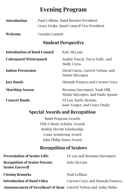# **Evening Program**

| <b>Introduction</b> | Paul LeBlanc, Band Booster President     |
|---------------------|------------------------------------------|
|                     | Grace Drake, Band Council Vice President |
| Welcome             | Georgia Lamont                           |

## **Student Perspective**

| <b>Introduction of Band Council</b> | Kate McLane                                                         |
|-------------------------------------|---------------------------------------------------------------------|
| Colorguard/Winterguard              | Sophie Pascal, Taryn Daily, and<br><b>Molly Cress</b>               |
| <b>Indoor Percussion</b>            | David Guess, Garrett Nelson, and<br>Mattie Kleespies                |
| <b>Jazz Bands</b>                   | Hannah Fonseca and Carson Crays                                     |
| <b>Marching Season</b>              | Breanna Davenport, Noah Hill,<br>Mattie Kleespies, and Paula Aponte |
| <b>Concert Bands</b>                | Fé Lau, Karla Aleman,<br>Josie Yeager, and Grace Drake              |

## **Special Awards and Recognition**

Band Program Awards TMEA Music Scholar Awards Robbie Hewitt Scholarship Louis Armstrong Award John Philip Sousa Award

## **Recognition of Seniors**

| <b>Presentation of Senior Gifts</b>                                         | Fé Lau and Breanna Davenport    |
|-----------------------------------------------------------------------------|---------------------------------|
| <b>Recognition of Senior Parents/</b><br><b>Senior Farewell</b>             | Kate McLane                     |
| <b>Closing Remarks</b>                                                      | Paul LeBlanc                    |
| <b>Introduction of Band Video</b>                                           | Carson Crays and Hannah Fonseca |
| <b>Announcement of Sweetheart &amp; Beau</b> Garrett Nelson and Anika Sinha |                                 |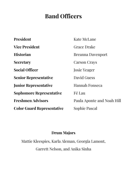# **Band Officers**

| <b>President</b>                  | Kate McLane                |
|-----------------------------------|----------------------------|
| <b>Vice President</b>             | Grace Drake                |
| <b>Historian</b>                  | <b>Breanna Davenport</b>   |
| <b>Secretary</b>                  | <b>Carson Crays</b>        |
| <b>Social Officer</b>             | <b>Josie Yeager</b>        |
| <b>Senior Representative</b>      | David Guess                |
| <b>Junior Representative</b>      | Hannah Fonseca             |
| <b>Sophomore Representative</b>   | Fé Lau                     |
| <b>Freshmen Advisors</b>          | Paula Aponte and Noah Hill |
| <b>Color Guard Representative</b> | Sophie Pascal              |

## **Drum Majors**

Mattie Kleespies, Karla Aleman, Georgia Lamont, Garrett Nelson, and Anika Sinha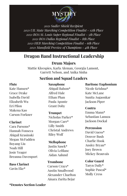

 *Sudler Shield Recipient UIL State Marching Competition Finalist - 12th Place BOA St. Louis Super Regional Finalist - 5th Place BOA Dallas Regional Finalist - 8th Place HEB Marching Competition Finalist - 6th Place Mansfield Preview of Champions - 4th Place*

## **Dragon Band Instructional Leadership**

### **Drum Majors**

Mattie Kleespies, Karla Aleman, Georgia Lamont, Garrett Nelson, and Anika Sinha

### **Section and Squad Leaders**

#### **Flute**

Kate Hansen\* Grace Drake Isabella David Elizabeth Wu Eri Pilon Makena Kao Carson Forkner

#### **Clarinet**

Cara Parsons\* Hannah Fonseca Abigail Krasinski Megan McFadden Boyang Liu Noah Hill Josie Yeager Breanna Davenport

#### **Bass Clarinet** Gavin Eke\*

**Saxophone** Abigail Balson\* Alfred Hale Ethan Phan Paula Aponte Grant Doby

#### **Trumpet**

Nicholas Parker\* Morgan Carr\* Lilly Smith Christal Andrews Riley Wolf

#### **Mellophone**

Justin Sasek\* Olivia LeBlanc Aidan Aalund

#### **Trombone**

Carson Crays\* Austin Smallwood Alexander Charlton Ainara Zurita Bejar

#### **Baritone/Euphonium**

Nicole Krishna\* Kate McLane Sunita Asgaonkar Jackson Piper

#### **Contra**

Emma Mann\* Sebastian Lanuza Jackson Dockal

#### **Percussion**

David Guess\* Denver Bush Charlie Hook Ansley Bryan\* Joey Brown Mickey Beauvais

**Color Guard**

Taryn Daily\* Sophie Pascal\* Molly Cress

#### **\*Denotes Section Leader**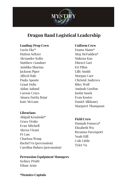

## **Dragon Band Logistical Leadership**

#### **Loading/Prop Crew**

Gavin Eke\* Hutton Seltzer Alexander Kolto Matthew Goodner Anishka Sharma Jackson Piper Alfred Hale Paula Aponte Grant Doby Aidan Aalund Carson Crays Ainara Zurita Bejar Kate McLane

#### **Librarians**

Abigail Krasinski\* Grace Drake Evan Mitchell Aleeza Virani Fé Lau Charissa Wang Rachel Vu (percussion) Carolina Bulnes (percussion)

#### **Percussion Equipment Managers**

Sydney Pruitt Ethan Arnn

**\*Denotes Captain**

#### **Uniform Crew**

Emma Mann\* Meg McFadden\* Makena Kao Dhruvi Gari Eri Pilon Lilly Smith Morgan Carr Christal Andrews Riley Wolf Aminah Gordon Justin Sasek Evan Kostov Daniel Alkhoury Margaret Thompson

#### **Field Crew**

Hannah Fonseca\* Elizabeth Wu Breanna Davenport Noah Hill Cole Little Tyler Vu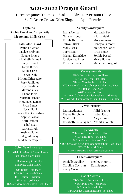## **2021-2022 Dragon Guard**

Director: James Thomas Assistant Director: Preston Hulse Staff: Grace Crews, Erica King, and Ryan Ferreira

#### **Captains:**

Sophie Pascal and Taryn Daily **Lieutenant**: Molly Cress

#### **Fall Color Guard**

Ivanna Aleman Kaylee Brabham Natalie Briggs Elizabeth Brunell Lucy Brunell Tanya Butler Molly Cress Taryn Daily Miriam Etheredge Rory Faulkner Joslyn Faulkner Maranda Fey Eliana Field Morgan Frazier McKenzee Lance Ryan Lentz Nysa Lilani Elisabeth O'Callaghan Sophie Pascal Aditi Prabhu Isabel Razo Aarya Singh Anshika Solleti Meg Silloway Madeleine Wigent

#### **Color Guard Awards**

Mansfield Preview of Champions - 1st Place Color Guard

> HEB Marching Contest - 2nd Place Color Guard

BOA Dallas - 8th Place BOA St. Louis - 5th Place UIL Region - Division 1 UIl Area - 3rd Place UIL State Marching Contest - 12th Place

#### **Varsity Winterguard**

Ivana Aleman Natalie Briggs Elizabeth Brunell Tanya Butler Molly Cress Taryn Daily Miriam Etheridge Josslyn Faulkner Rory Faulkner

Maranda Fey Eliana Field Morgan Frazier Georgia Lamont McKenzee Lance Ryan Lentz Sophie Pascal Meg Silloway Madeleine Wigent

#### **Varsity Awards**

NTCA North Forney - 1st Place NTCA Pine Tree - 1st Place NTCA - Waxahachie - 1st Place NTCA National A Class Championships - 1st Place WGI Dallas - 2nd Place WGI Tulsa - 2nd Place WGI World Championships Prelims - 11th Place WGI World Championships Semi Finals - 25th Place

#### **JV Winterguard**

Ivanna Aleman Kaylee Brabham Noah Hill Elisabeth O'Callaghan Anshika Solleti Aditi Prabhu Isabel Razo Aarya Singh

#### **JV Awards**

\*NTCA North Forney - 3rd Place NTCA Pine Tree - 3rd Place NTCA Waxahachie - 3rd Place NTCA Scholastic AA Class Championships - 5th Place \*WGI Tulsa - 6th Place *\*Denotes promoted to next higher classification*

#### **Cadet Winterguard**

Daniella Aguilar Caroline Cochran Avery Cress

Henley Merritt Kasi Spencer

#### **Cadet Awards**

NTCA North Forney - 1st Place NTCA Pine Tree - 3rd Place NTCA Keller - 1st Place NTCA Cadet Championships - 1st Place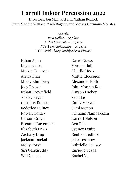# **Carroll Indoor Percussion 2022**

Directors: Jon Maynard and Nathan Rearick Staff: Maddie Wallace, Zach Rogers, and Moises Carmona Morales

> *Awards: WGI Dallas – 1st place NTCA Lewisville – 1st place NTCA Championships – 1st place WGI World Championships Semi Finalist*

Ethan Arnn Kayla Beaird Mickey Beauvais Aritra Bhar Mikey Blumberg Joey Brown Ethan Brownfield Ansley Bryan Carolina Bulnes Federico Bulnes Rowan Conley Carson Crays Breanna Davenport Elizabeth Dean Zachary Ding Jackson Dockal Molly Forst Siri Gangireddy Will Gornell

David Guess Marcus Hall Charlie Hook Mattie Kleespies Alexander Kolto John Morgan Koo Carson Lackey Sean Le Emily Maxwell Sami Menon Srimann Nambakkam Garrett Nelson Ben Pilat Sydney Pruitt Reuben Tedford Jake Tessnow Gabrielle Velasco Enrique Vezga Rachel Vu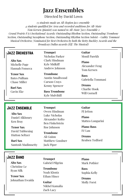## **Jazz Ensembles**

Directed by David Lown

*13 students made an All-Region jazz ensemble 4 students qualified for Area and recorded auditions for All-State Tom Kersen (pianist) was named to All-State Jazz Ensemble 2 Grand Prairie FAA Invitational Awards: Outstanding Rhythm Section, Outstanding Trombone Section, Outstanding Saxophone Section, Outstanding Rhythm Section Soloist - Gabby Tommasi Musical Orchestra: Nominated for Best Orchestra by both the Betty Buckley Awards and the Broadway Dallas awards (Elf: The Musical)*

#### Jazz Orchestra

**Alto Sax** Michelle Page Hannah Fonseca

**Tenor Sax** Bates Pulliam Chase Miller

**Bari Sax** Gavin Eke

#### **Trumpet** Nicholas Parker Clark Hindman Kyle Midkiff Andrew Johnson

**Trombone** Austin Smallwood Carson Crays Kenny Spencer

**Bass Trombone** Kyle Mulvihill

#### **Guitar** Monil Parekh

**Piano** Alexander Feng Tom Kersen

**Bass** Gabriella Tommasi

**Drums** Charlie Hook Will Gornell

#### Jazz Ensemble

**Alto Sax** Daniel Alkhoury Ken Bray

**Tenor Sax** David Tubbesing Hutton Seltzer

**Bari Sax** Santosh Madimsetty

#### **Trumpet** Owen Hindman

Luke Nicholas Alexander Kolto Ben Finkelstein Roe Johnson

**Trombone** Ali Guinn Matthew Goodner Jack Piper

**Guitar** PJ Jetton

**Piano** Matteo Longarini

**Piano/Bass** Fé Lau

**Drums** Reuben Tedford

#### Jazz Band

**Alto Sax** Christine Le Ryan Silk

**Tenor Sax** Johnathan Ewaida **Trumpet** Gabriel Pilgrim

**Trombone** Noah Klontz Ethan Hince

**Guitar** Nikhel Kamalia Zach Lacy

**Piano** Mark Pothier

**Bass** Sophia Kelly

**Drums** Molly Forst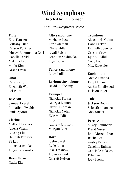# **Wind Symphony**

Directed by Ken Johnson

*2022 UIL Sweepstakes Award*

#### **Flute**

Kate Hansen Brittany Luan Carson Forkner Dhruvi Rukumanna Gari Isabella David Makena Kao Minju Kim Grace Drake

#### **Oboe**

Cara Parsons Elizabeth Wu Eri Pilon

#### **Bassoon**

Samuel Everett Johnathan Ewaida Paula Aponte

#### **Clarinet**

Mattie Kleespies Aleeza Virani Boyang Liu Hannah Fonseca Fé Lau Katarina Reinke Abigail Krasinski

## **Bass Clarinet**

Gavin Eke

#### **Alto Saxophone**

Michelle Page Karla Aleman Chase Miller Aigail Balson Brandon Yoshinaka Logan Clay

**Tenor Saxophone** Bates Pulliam

**Baritone Saxophone** David Tubbesing

#### **Trumpet**

Nicholas Parker Georgia Lamont Clark Hindman Nicholas Nolen Kyle Midkiff Lilly Smith Andrew Johnson Morgan Carr

#### **Horn**

Justin Sasek Rylie Allen Jake Tessnow Aidan Aalund Garrett Nelson

#### **Trombone**

Alexandria Guinn Hana Parker Kenneth Spencer Carson Crays Kyle Mulvihill Cody Loomis Max Kleespies

#### **Euphonium**

Nicole Krishna Kate McLane Austin Smallwood Jackson Piper

#### **Tuba**

Jackson Dockal Sebastian Lanuza Nick Stuart

#### **Percussion**

Mikey Blumberg David Guess John Morgan Koo Rachel Vu Ansley Bryan Carolina Bulnes Gabrielle Velasco Ethan Arnn Joey Brown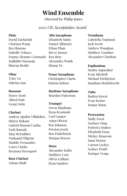# **Wind Ensemble**

Directed by Philip Jones

### *2022 UIL Sweepstakes Award*

#### **Flute**

David Zachariah Charissa Wang Jiya Sharma Isabelle Velasco Ivanna Aleman-Coronado Sudhithi Durusoju Bhavna Reddy

#### **Oboe**

Tyler Vu Sabrina Sun

#### **Bassoon**

Henry Scott Alfred Hale Grant Doby

#### **Clarinet**

Andrea Aguilar Villalobos Shriya Makam Gabriel Bononi Cunha Yash Baruah Meg McFadden Nathaniel Pilgrim Maddie Fernandes Corey Clarke Breanna Davenport

**Bass Clarinet** Azlaan Shafi

#### **Alto Saxophone** Elizabeth Smits

Daniel Alkhoury Ethan Phan Bryce Inouye Ken Bray Alexandra Walsh Khang To

**Tenor Saxophone** Christopher Clarin Hutton Seltzer

**Baritone Saxophone** Braeden Patterson

**Trumpet** Owen Hindman Ryan Krasinski Carl Langoe Arjan Oberoi Roe Johnson Preston Jezek Ben Finkelstein Morgan Brown

#### **Horn**

Alexander Kolto Matthew Cory Olivia LeBlanc Ryan Sanders

#### **Trombone**

Gabriella Tommasi Jack Swett Andrew Wanghan Matthew Goodner Alexander Charlton

#### **Euphonium**

Sunita Asgaonkar Evan Mitchell Michael Dickheiser Jonathan Heidebrecht

#### **Tuba**

Radien Kawai Evan Kostov Emma Mann

#### **Percussion**

Molly Forst Zachary Ding Federico Bulnes Elizabeth Dean Mickey Beauvais Sami Menon Carson Lackey Sydney Pruitt Enrique Vezga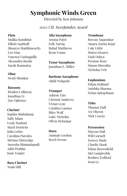# **Symphonic Winds Green**

Directed by Ken Johnson

#### *2022 UIL Sweepstakes Award*

#### **Flute**

Malika Kumbhat Elliott Saathoff Shuarya Maddimesetty Leo Xiao Vanessa Vazhappilly Alexandra Buzila Sarah Boumaiza

#### **Oboe**

Swati Shankar

#### **Bassoon**

Braden Callaway Jonathan Li Zoe Ogletree

#### **Clarinet**

Sophia Shabahang Safiy Islam Uzair Hashmi Mayli Heistein Julia Lehto Carolina Paredes Miriam Ehteredge Aneesha Rimmalapudi Aditi Prabhu Josie Yeager

**Bass Clarinet** Noah Hill

#### **Alto Saxophone**

Aruma Patel Erik Natvig Rahul Matthews Ryan Venne

**Tenor Saxophone** Jonathan E. Miller

**Baritone Saxophone** Akhil Nelapolu

**Trumpet** Ashton Tate Christal Andrews Vivian Lyne Catalina Lanuza Riley Wolf Luke Nicholas Olivia Hybargar

**Horn** Aminah Gordon Reed Owens

#### **Trombone**

Rowan Asgaonkar Ainara Zurita Bejar Cole Little Mateo Irizarry Yash Dahya Preston Rose Simon Shrestha Nicholas Veit

**Euphonium**

Ethan Holland Anishka Sharma Dylan Spiegelman

#### **Tuba**

Thomas Hall Avi Oberoi Nick Coscia

#### **Percussion**

Marcus Hall Will Gornell Denver Bush Charlie Hook Ethan Brownfield Siri Gangireddy Reuben Tedford Sean Le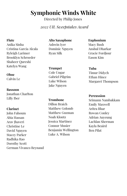# **Symphonic Winds White**

Directed by Philip Jones

*2022 UIL Sweepstakes Award*

#### **Flute**

Anika Sinha Cristina Garcia Alcala Ryleigh Larimer

## **Alto Saxophone**

Ashwin Iyer Dominic Nguyen Ryan Silk

### Brooklyn Schroeder Shaheer Qureshi Katelyn Wang

#### **Oboe**

Calvin Le

#### **Bassoon**

Jonathan Charlton Lilly Iber

#### **Clarinet**

John Fahoum Abia Hassan Arav Jhaveri Christine Le David Nguyen Stacey Parker Radhika Rao Dorothy Scott German Vivanco Reynaud **Trumpet** Cole Ungar Gabriel Pilgrim Luke Wilson Jake Nguyen

#### **Trombone** Dillon Braich Matthew Golomb Matthew Guzman Noah Klontz Jessica Martinez Connor Musier Benjamin Wellington Luke A. Wilson

#### **Euphonium**

Macy Bush Anshul Dharkar Gracie Fordjour Eason Kim

#### **Tuba**

Timur Didych Ethan Hince Margaret Thompson

#### **Percussion**

Srimann Nambakkam Emily Maxwell Aritra Bhar Rowan Conley Adrian Auyeung Lachlan Sherman Kayla Beaird Ben Pilat